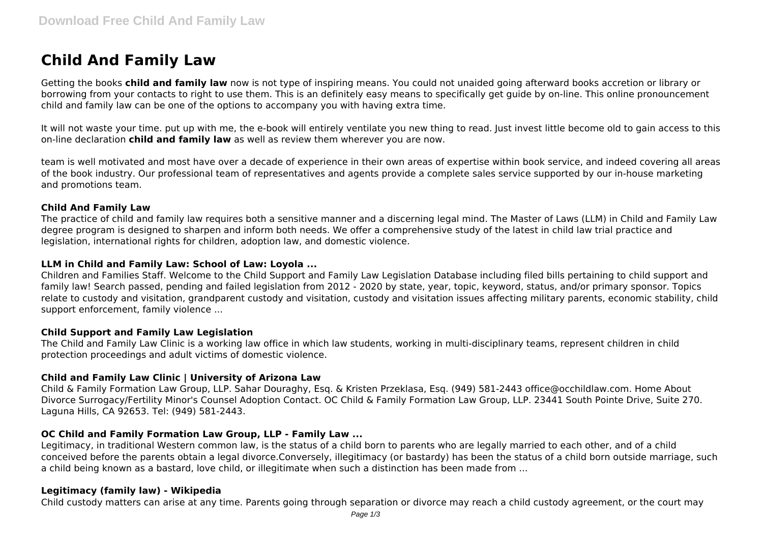# **Child And Family Law**

Getting the books **child and family law** now is not type of inspiring means. You could not unaided going afterward books accretion or library or borrowing from your contacts to right to use them. This is an definitely easy means to specifically get guide by on-line. This online pronouncement child and family law can be one of the options to accompany you with having extra time.

It will not waste your time. put up with me, the e-book will entirely ventilate you new thing to read. Just invest little become old to gain access to this on-line declaration **child and family law** as well as review them wherever you are now.

team is well motivated and most have over a decade of experience in their own areas of expertise within book service, and indeed covering all areas of the book industry. Our professional team of representatives and agents provide a complete sales service supported by our in-house marketing and promotions team.

## **Child And Family Law**

The practice of child and family law requires both a sensitive manner and a discerning legal mind. The Master of Laws (LLM) in Child and Family Law degree program is designed to sharpen and inform both needs. We offer a comprehensive study of the latest in child law trial practice and legislation, international rights for children, adoption law, and domestic violence.

# **LLM in Child and Family Law: School of Law: Loyola ...**

Children and Families Staff. Welcome to the Child Support and Family Law Legislation Database including filed bills pertaining to child support and family law! Search passed, pending and failed legislation from 2012 - 2020 by state, year, topic, keyword, status, and/or primary sponsor. Topics relate to custody and visitation, grandparent custody and visitation, custody and visitation issues affecting military parents, economic stability, child support enforcement, family violence ...

# **Child Support and Family Law Legislation**

The Child and Family Law Clinic is a working law office in which law students, working in multi-disciplinary teams, represent children in child protection proceedings and adult victims of domestic violence.

# **Child and Family Law Clinic | University of Arizona Law**

Child & Family Formation Law Group, LLP. Sahar Douraghy, Esq. & Kristen Przeklasa, Esq. (949) 581-2443 office@occhildlaw.com. Home About Divorce Surrogacy/Fertility Minor's Counsel Adoption Contact. OC Child & Family Formation Law Group, LLP. 23441 South Pointe Drive, Suite 270. Laguna Hills, CA 92653. Tel: (949) 581-2443.

# **OC Child and Family Formation Law Group, LLP - Family Law ...**

Legitimacy, in traditional Western common law, is the status of a child born to parents who are legally married to each other, and of a child conceived before the parents obtain a legal divorce.Conversely, illegitimacy (or bastardy) has been the status of a child born outside marriage, such a child being known as a bastard, love child, or illegitimate when such a distinction has been made from ...

# **Legitimacy (family law) - Wikipedia**

Child custody matters can arise at any time. Parents going through separation or divorce may reach a child custody agreement, or the court may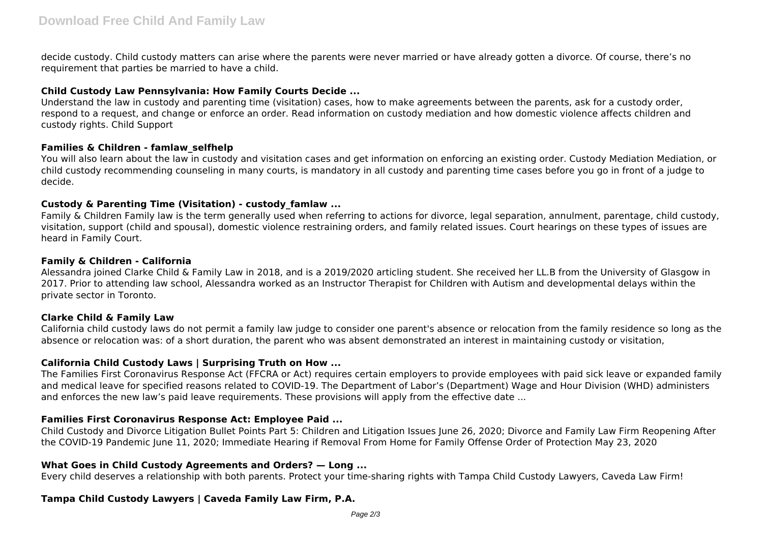decide custody. Child custody matters can arise where the parents were never married or have already gotten a divorce. Of course, there's no requirement that parties be married to have a child.

## **Child Custody Law Pennsylvania: How Family Courts Decide ...**

Understand the law in custody and parenting time (visitation) cases, how to make agreements between the parents, ask for a custody order, respond to a request, and change or enforce an order. Read information on custody mediation and how domestic violence affects children and custody rights. Child Support

## **Families & Children - famlaw\_selfhelp**

You will also learn about the law in custody and visitation cases and get information on enforcing an existing order. Custody Mediation Mediation, or child custody recommending counseling in many courts, is mandatory in all custody and parenting time cases before you go in front of a judge to decide.

# **Custody & Parenting Time (Visitation) - custody\_famlaw ...**

Family & Children Family law is the term generally used when referring to actions for divorce, legal separation, annulment, parentage, child custody, visitation, support (child and spousal), domestic violence restraining orders, and family related issues. Court hearings on these types of issues are heard in Family Court.

#### **Family & Children - California**

Alessandra joined Clarke Child & Family Law in 2018, and is a 2019/2020 articling student. She received her LL.B from the University of Glasgow in 2017. Prior to attending law school, Alessandra worked as an Instructor Therapist for Children with Autism and developmental delays within the private sector in Toronto.

# **Clarke Child & Family Law**

California child custody laws do not permit a family law judge to consider one parent's absence or relocation from the family residence so long as the absence or relocation was: of a short duration, the parent who was absent demonstrated an interest in maintaining custody or visitation,

# **California Child Custody Laws | Surprising Truth on How ...**

The Families First Coronavirus Response Act (FFCRA or Act) requires certain employers to provide employees with paid sick leave or expanded family and medical leave for specified reasons related to COVID-19. The Department of Labor's (Department) Wage and Hour Division (WHD) administers and enforces the new law's paid leave requirements. These provisions will apply from the effective date ...

# **Families First Coronavirus Response Act: Employee Paid ...**

Child Custody and Divorce Litigation Bullet Points Part 5: Children and Litigation Issues June 26, 2020; Divorce and Family Law Firm Reopening After the COVID-19 Pandemic June 11, 2020; Immediate Hearing if Removal From Home for Family Offense Order of Protection May 23, 2020

# **What Goes in Child Custody Agreements and Orders? — Long ...**

Every child deserves a relationship with both parents. Protect your time-sharing rights with Tampa Child Custody Lawyers, Caveda Law Firm!

# **Tampa Child Custody Lawyers | Caveda Family Law Firm, P.A.**